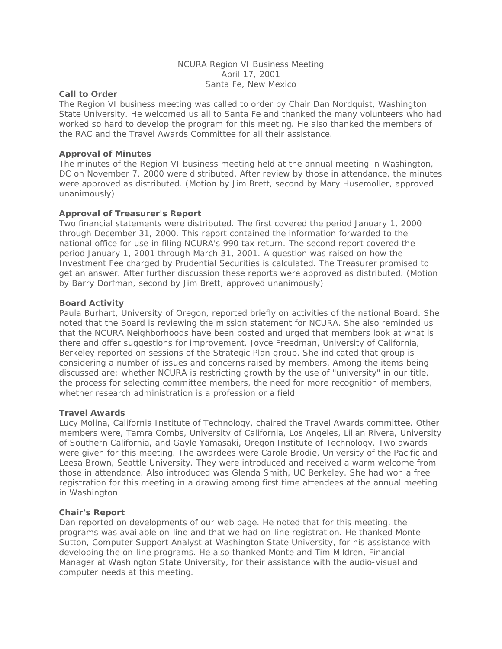## NCURA Region VI Business Meeting April 17, 2001 Santa Fe, New Mexico

# **Call to Order**

The Region VI business meeting was called to order by Chair Dan Nordquist, Washington State University. He welcomed us all to Santa Fe and thanked the many volunteers who had worked so hard to develop the program for this meeting. He also thanked the members of the RAC and the Travel Awards Committee for all their assistance.

### **Approval of Minutes**

The minutes of the Region VI business meeting held at the annual meeting in Washington, DC on November 7, 2000 were distributed. After review by those in attendance, the minutes were approved as distributed. (Motion by Jim Brett, second by Mary Husemoller, approved unanimously)

# **Approval of Treasurer's Report**

Two financial statements were distributed. The first covered the period January 1, 2000 through December 31, 2000. This report contained the information forwarded to the national office for use in filing NCURA's 990 tax return. The second report covered the period January 1, 2001 through March 31, 2001. A question was raised on how the Investment Fee charged by Prudential Securities is calculated. The Treasurer promised to get an answer. After further discussion these reports were approved as distributed. (Motion by Barry Dorfman, second by Jim Brett, approved unanimously)

### **Board Activity**

Paula Burhart, University of Oregon, reported briefly on activities of the national Board. She noted that the Board is reviewing the mission statement for NCURA. She also reminded us that the NCURA Neighborhoods have been posted and urged that members look at what is there and offer suggestions for improvement. Joyce Freedman, University of California, Berkeley reported on sessions of the Strategic Plan group. She indicated that group is considering a number of issues and concerns raised by members. Among the items being discussed are: whether NCURA is restricting growth by the use of "university" in our title, the process for selecting committee members, the need for more recognition of members, whether research administration is a profession or a field.

#### **Travel Awards**

Lucy Molina, California Institute of Technology, chaired the Travel Awards committee. Other members were, Tamra Combs, University of California, Los Angeles, Lilian Rivera, University of Southern California, and Gayle Yamasaki, Oregon Institute of Technology. Two awards were given for this meeting. The awardees were Carole Brodie, University of the Pacific and Leesa Brown, Seattle University. They were introduced and received a warm welcome from those in attendance. Also introduced was Glenda Smith, UC Berkeley. She had won a free registration for this meeting in a drawing among first time attendees at the annual meeting in Washington.

#### **Chair's Report**

Dan reported on developments of our web page. He noted that for this meeting, the programs was available on-line and that we had on-line registration. He thanked Monte Sutton, Computer Support Analyst at Washington State University, for his assistance with developing the on-line programs. He also thanked Monte and Tim Mildren, Financial Manager at Washington State University, for their assistance with the audio-visual and computer needs at this meeting.